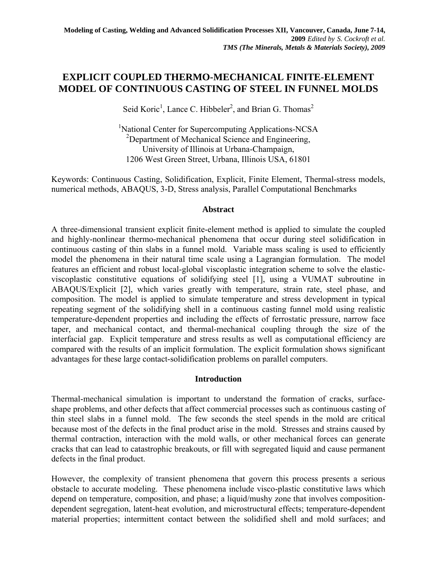# **EXPLICIT COUPLED THERMO-MECHANICAL FINITE-ELEMENT MODEL OF CONTINUOUS CASTING OF STEEL IN FUNNEL MOLDS**

Seid Koric<sup>1</sup>, Lance C. Hibbeler<sup>2</sup>, and Brian G. Thomas<sup>2</sup>

<sup>1</sup>National Center for Supercomputing Applications-NCSA <sup>2</sup>Department of Mechanical Science and Engineering, University of Illinois at Urbana-Champaign, 1206 West Green Street, Urbana, Illinois USA, 61801

Keywords: Continuous Casting, Solidification, Explicit, Finite Element, Thermal-stress models, numerical methods, ABAQUS, 3-D, Stress analysis, Parallel Computational Benchmarks

## **Abstract**

A three-dimensional transient explicit finite-element method is applied to simulate the coupled and highly-nonlinear thermo-mechanical phenomena that occur during steel solidification in continuous casting of thin slabs in a funnel mold. Variable mass scaling is used to efficiently model the phenomena in their natural time scale using a Lagrangian formulation. The model features an efficient and robust local-global viscoplastic integration scheme to solve the elasticviscoplastic constitutive equations of solidifying steel [1], using a VUMAT subroutine in ABAQUS/Explicit [2], which varies greatly with temperature, strain rate, steel phase, and composition. The model is applied to simulate temperature and stress development in typical repeating segment of the solidifying shell in a continuous casting funnel mold using realistic temperature-dependent properties and including the effects of ferrostatic pressure, narrow face taper, and mechanical contact, and thermal-mechanical coupling through the size of the interfacial gap. Explicit temperature and stress results as well as computational efficiency are compared with the results of an implicit formulation. The explicit formulation shows significant advantages for these large contact-solidification problems on parallel computers.

# **Introduction**

Thermal-mechanical simulation is important to understand the formation of cracks, surfaceshape problems, and other defects that affect commercial processes such as continuous casting of thin steel slabs in a funnel mold. The few seconds the steel spends in the mold are critical because most of the defects in the final product arise in the mold. Stresses and strains caused by thermal contraction, interaction with the mold walls, or other mechanical forces can generate cracks that can lead to catastrophic breakouts, or fill with segregated liquid and cause permanent defects in the final product.

However, the complexity of transient phenomena that govern this process presents a serious obstacle to accurate modeling. These phenomena include visco-plastic constitutive laws which depend on temperature, composition, and phase; a liquid/mushy zone that involves compositiondependent segregation, latent-heat evolution, and microstructural effects; temperature-dependent material properties; intermittent contact between the solidified shell and mold surfaces; and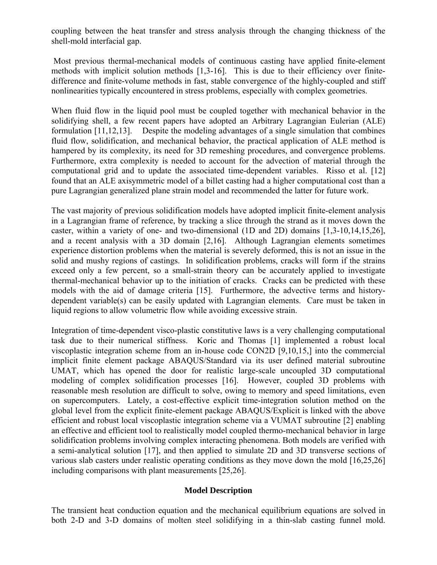coupling between the heat transfer and stress analysis through the changing thickness of the shell-mold interfacial gap.

 Most previous thermal-mechanical models of continuous casting have applied finite-element methods with implicit solution methods [1,3-16]. This is due to their efficiency over finitedifference and finite-volume methods in fast, stable convergence of the highly-coupled and stiff nonlinearities typically encountered in stress problems, especially with complex geometries.

When fluid flow in the liquid pool must be coupled together with mechanical behavior in the solidifying shell, a few recent papers have adopted an Arbitrary Lagrangian Eulerian (ALE) formulation [11,12,13]. Despite the modeling advantages of a single simulation that combines fluid flow, solidification, and mechanical behavior, the practical application of ALE method is hampered by its complexity, its need for 3D remeshing procedures, and convergence problems. Furthermore, extra complexity is needed to account for the advection of material through the computational grid and to update the associated time-dependent variables. Risso et al. [12] found that an ALE axisymmetric model of a billet casting had a higher computational cost than a pure Lagrangian generalized plane strain model and recommended the latter for future work.

The vast majority of previous solidification models have adopted implicit finite-element analysis in a Lagrangian frame of reference, by tracking a slice through the strand as it moves down the caster, within a variety of one- and two-dimensional (1D and 2D) domains [1,3-10,14,15,26], and a recent analysis with a 3D domain [2,16]. Although Lagrangian elements sometimes experience distortion problems when the material is severely deformed, this is not an issue in the solid and mushy regions of castings. In solidification problems, cracks will form if the strains exceed only a few percent, so a small-strain theory can be accurately applied to investigate thermal-mechanical behavior up to the initiation of cracks. Cracks can be predicted with these models with the aid of damage criteria [15]. Furthermore, the advective terms and historydependent variable(s) can be easily updated with Lagrangian elements. Care must be taken in liquid regions to allow volumetric flow while avoiding excessive strain.

Integration of time-dependent visco-plastic constitutive laws is a very challenging computational task due to their numerical stiffness. Koric and Thomas [1] implemented a robust local viscoplastic integration scheme from an in-house code CON2D [9,10,15,] into the commercial implicit finite element package ABAQUS/Standard via its user defined material subroutine UMAT, which has opened the door for realistic large-scale uncoupled 3D computational modeling of complex solidification processes [16]. However, coupled 3D problems with reasonable mesh resolution are difficult to solve, owing to memory and speed limitations, even on supercomputers. Lately, a cost-effective explicit time-integration solution method on the global level from the explicit finite-element package ABAQUS/Explicit is linked with the above efficient and robust local viscoplastic integration scheme via a VUMAT subroutine [2] enabling an effective and efficient tool to realistically model coupled thermo-mechanical behavior in large solidification problems involving complex interacting phenomena. Both models are verified with a semi-analytical solution [17], and then applied to simulate 2D and 3D transverse sections of various slab casters under realistic operating conditions as they move down the mold [16,25,26] including comparisons with plant measurements [25,26].

# **Model Description**

The transient heat conduction equation and the mechanical equilibrium equations are solved in both 2-D and 3-D domains of molten steel solidifying in a thin-slab casting funnel mold.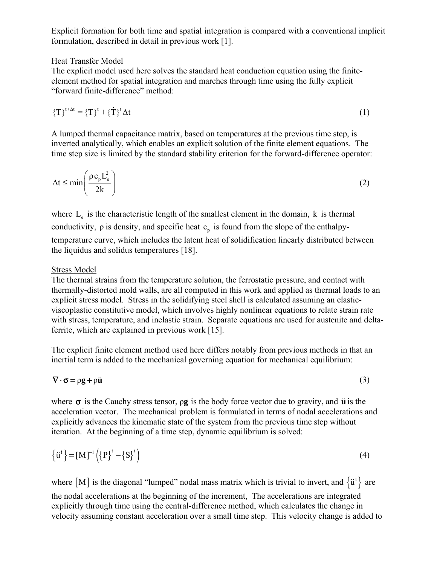Explicit formation for both time and spatial integration is compared with a conventional implicit formulation, described in detail in previous work [1].

## Heat Transfer Model

The explicit model used here solves the standard heat conduction equation using the finiteelement method for spatial integration and marches through time using the fully explicit "forward finite-difference" method:

$$
\{\mathrm{T}\}^{\mathrm{t+At}} = \{\mathrm{T}\}^{\mathrm{t}} + \{\dot{\mathrm{T}}\}^{\mathrm{t}} \Delta \mathrm{t}
$$
 (1)

A lumped thermal capacitance matrix, based on temperatures at the previous time step, is inverted analytically, which enables an explicit solution of the finite element equations. The time step size is limited by the standard stability criterion for the forward-difference operator:

$$
\Delta t \le \min\left(\frac{\rho c_{p} L_{e}^{2}}{2k}\right) \tag{2}
$$

where  $L<sub>e</sub>$  is the characteristic length of the smallest element in the domain, k is thermal conductivity,  $\rho$  is density, and specific heat  $c<sub>n</sub>$  is found from the slope of the enthalpytemperature curve, which includes the latent heat of solidification linearly distributed between the liquidus and solidus temperatures [18].

# Stress Model

The thermal strains from the temperature solution, the ferrostatic pressure, and contact with thermally-distorted mold walls, are all computed in this work and applied as thermal loads to an explicit stress model. Stress in the solidifying steel shell is calculated assuming an elasticviscoplastic constitutive model, which involves highly nonlinear equations to relate strain rate with stress, temperature, and inelastic strain. Separate equations are used for austenite and deltaferrite, which are explained in previous work [15].

The explicit finite element method used here differs notably from previous methods in that an inertial term is added to the mechanical governing equation for mechanical equilibrium:

$$
\nabla \cdot \sigma = \rho g + \rho \ddot{u} \tag{3}
$$

where  $\sigma$  is the Cauchy stress tensor,  $\rho$ **g** is the body force vector due to gravity, and **u** is the acceleration vector. The mechanical problem is formulated in terms of nodal accelerations and explicitly advances the kinematic state of the system from the previous time step without iteration. At the beginning of a time step, dynamic equilibrium is solved:

$$
\left\{\ddot{u}^t\right\} = [M]^{-1} \left(\left\{P\right\}^t - \left\{S\right\}^t\right) \tag{4}
$$

where [M] is the diagonal "lumped" nodal mass matrix which is trivial to invert, and  $\{\ddot{u}^{\dagger}\}$  are the nodal accelerations at the beginning of the increment, The accelerations are integrated explicitly through time using the central-difference method, which calculates the change in velocity assuming constant acceleration over a small time step. This velocity change is added to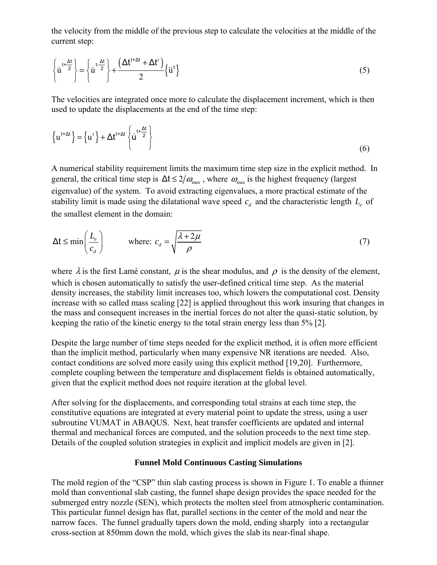the velocity from the middle of the previous step to calculate the velocities at the middle of the current step:

$$
\left\{\dot{u}^{t+\frac{\Delta t}{2}}\right\} = \left\{\dot{u}^{t-\frac{\Delta t}{2}}\right\} + \frac{(\Delta t^{t+\Delta t} + \Delta t')}{2} \left\{\dot{u}^{t}\right\}
$$
\n(5)

The velocities are integrated once more to calculate the displacement increment, which is then used to update the displacements at the end of the time step:

$$
\left\{ u^{t+\Delta t} \right\} = \left\{ u^t \right\} + \Delta t^{t+\Delta t} \left\{ u^{t+\frac{\Delta t}{2}} \right\}
$$
 (6)

A numerical stability requirement limits the maximum time step size in the explicit method. In general, the critical time step is  $\Delta t \le 2/\omega_{\text{max}}$ , where  $\omega_{\text{max}}$  is the highest frequency (largest eigenvalue) of the system. To avoid extracting eigenvalues, a more practical estimate of the stability limit is made using the dilatational wave speed  $c_d$  and the characteristic length  $L_e$  of the smallest element in the domain:

$$
\Delta t \le \min\left(\frac{L_e}{c_d}\right) \qquad \text{where: } c_d = \sqrt{\frac{\lambda + 2\mu}{\rho}} \tag{7}
$$

where  $\lambda$  is the first Lamé constant,  $\mu$  is the shear modulus, and  $\rho$  is the density of the element, which is chosen automatically to satisfy the user-defined critical time step. As the material density increases, the stability limit increases too, which lowers the computational cost. Density increase with so called mass scaling [22] is applied throughout this work insuring that changes in the mass and consequent increases in the inertial forces do not alter the quasi-static solution, by keeping the ratio of the kinetic energy to the total strain energy less than 5% [2].

Despite the large number of time steps needed for the explicit method, it is often more efficient than the implicit method, particularly when many expensive NR iterations are needed. Also, contact conditions are solved more easily using this explicit method [19,20]. Furthermore, complete coupling between the temperature and displacement fields is obtained automatically, given that the explicit method does not require iteration at the global level.

After solving for the displacements, and corresponding total strains at each time step, the constitutive equations are integrated at every material point to update the stress, using a user subroutine VUMAT in ABAQUS. Next, heat transfer coefficients are updated and internal thermal and mechanical forces are computed, and the solution proceeds to the next time step. Details of the coupled solution strategies in explicit and implicit models are given in [2].

## **Funnel Mold Continuous Casting Simulations**

The mold region of the "CSP" thin slab casting process is shown in Figure 1. To enable a thinner mold than conventional slab casting, the funnel shape design provides the space needed for the submerged entry nozzle (SEN), which protects the molten steel from atmospheric contamination. This particular funnel design has flat, parallel sections in the center of the mold and near the narrow faces. The funnel gradually tapers down the mold, ending sharply into a rectangular cross-section at 850mm down the mold, which gives the slab its near-final shape.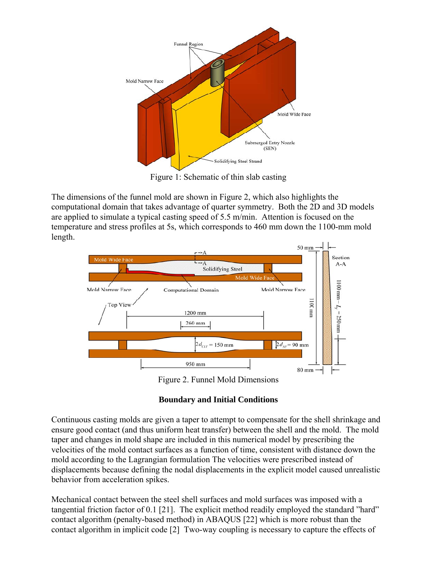

Figure 1: Schematic of thin slab casting

The dimensions of the funnel mold are shown in Figure 2, which also highlights the computational domain that takes advantage of quarter symmetry. Both the 2D and 3D models are applied to simulate a typical casting speed of 5.5 m/min. Attention is focused on the temperature and stress profiles at 5s, which corresponds to 460 mm down the 1100-mm mold length.



Figure 2. Funnel Mold Dimensions

# **Boundary and Initial Conditions**

Continuous casting molds are given a taper to attempt to compensate for the shell shrinkage and ensure good contact (and thus uniform heat transfer) between the shell and the mold. The mold taper and changes in mold shape are included in this numerical model by prescribing the velocities of the mold contact surfaces as a function of time, consistent with distance down the mold according to the Lagrangian formulation The velocities were prescribed instead of displacements because defining the nodal displacements in the explicit model caused unrealistic behavior from acceleration spikes.

Mechanical contact between the steel shell surfaces and mold surfaces was imposed with a tangential friction factor of 0.1 [21]. The explicit method readily employed the standard "hard" contact algorithm (penalty-based method) in ABAQUS [22] which is more robust than the contact algorithm in implicit code [2] Two-way coupling is necessary to capture the effects of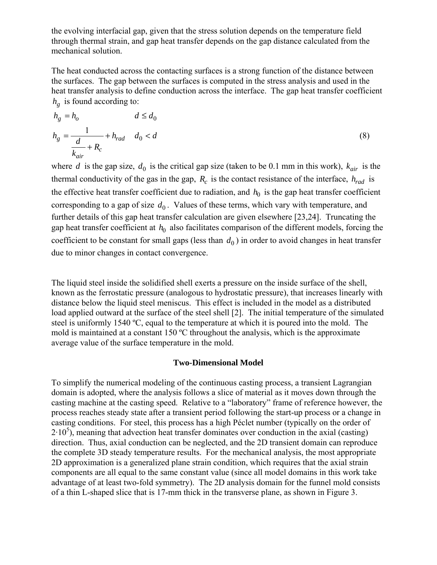the evolving interfacial gap, given that the stress solution depends on the temperature field through thermal strain, and gap heat transfer depends on the gap distance calculated from the mechanical solution.

The heat conducted across the contacting surfaces is a strong function of the distance between the surfaces. The gap between the surfaces is computed in the stress analysis and used in the heat transfer analysis to define conduction across the interface. The gap heat transfer coefficient  $h_{\varrho}$  is found according to:

$$
h_g = h_o \t d \le d_0
$$
  

$$
h_g = \frac{1}{\frac{d}{k_{air}} + R_c} + h_{rad} \t d_0 < d
$$
 (8)

where *d* is the gap size,  $d_0$  is the critical gap size (taken to be 0.1 mm in this work),  $k_{air}$  is the thermal conductivity of the gas in the gap,  $R_c$  is the contact resistance of the interface,  $h_{rad}$  is the effective heat transfer coefficient due to radiation, and  $h_0$  is the gap heat transfer coefficient corresponding to a gap of size  $d_0$ . Values of these terms, which vary with temperature, and further details of this gap heat transfer calculation are given elsewhere [23,24]. Truncating the gap heat transfer coefficient at  $h_0$  also facilitates comparison of the different models, forcing the coefficient to be constant for small gaps (less than  $d_0$ ) in order to avoid changes in heat transfer due to minor changes in contact convergence.

The liquid steel inside the solidified shell exerts a pressure on the inside surface of the shell, known as the ferrostatic pressure (analogous to hydrostatic pressure), that increases linearly with distance below the liquid steel meniscus. This effect is included in the model as a distributed load applied outward at the surface of the steel shell [2]. The initial temperature of the simulated steel is uniformly 1540 ºC, equal to the temperature at which it is poured into the mold. The mold is maintained at a constant 150 ºC throughout the analysis, which is the approximate average value of the surface temperature in the mold.

#### **Two-Dimensional Model**

To simplify the numerical modeling of the continuous casting process, a transient Lagrangian domain is adopted, where the analysis follows a slice of material as it moves down through the casting machine at the casting speed. Relative to a "laboratory" frame of reference however, the process reaches steady state after a transient period following the start-up process or a change in casting conditions. For steel, this process has a high Péclet number (typically on the order of  $2 \cdot 10^5$ ), meaning that advection heat transfer dominates over conduction in the axial (casting) direction. Thus, axial conduction can be neglected, and the 2D transient domain can reproduce the complete 3D steady temperature results. For the mechanical analysis, the most appropriate 2D approximation is a generalized plane strain condition, which requires that the axial strain components are all equal to the same constant value (since all model domains in this work take advantage of at least two-fold symmetry). The 2D analysis domain for the funnel mold consists of a thin L-shaped slice that is 17-mm thick in the transverse plane, as shown in Figure 3.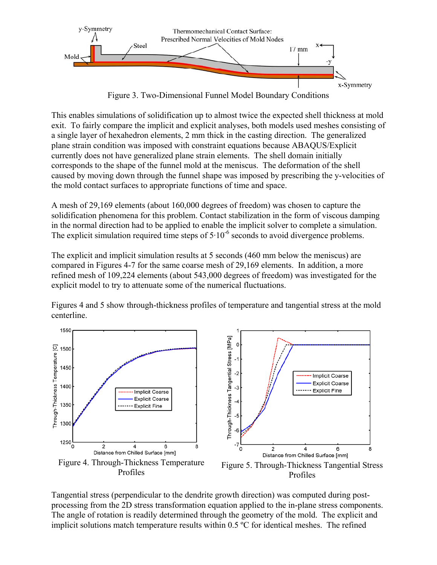

Figure 3. Two-Dimensional Funnel Model Boundary Conditions

This enables simulations of solidification up to almost twice the expected shell thickness at mold exit. To fairly compare the implicit and explicit analyses, both models used meshes consisting of a single layer of hexahedron elements, 2 mm thick in the casting direction. The generalized plane strain condition was imposed with constraint equations because ABAQUS/Explicit currently does not have generalized plane strain elements. The shell domain initially corresponds to the shape of the funnel mold at the meniscus. The deformation of the shell caused by moving down through the funnel shape was imposed by prescribing the y-velocities of the mold contact surfaces to appropriate functions of time and space.

A mesh of 29,169 elements (about 160,000 degrees of freedom) was chosen to capture the solidification phenomena for this problem. Contact stabilization in the form of viscous damping in the normal direction had to be applied to enable the implicit solver to complete a simulation. The explicit simulation required time steps of  $5 \cdot 10^{-6}$  seconds to avoid divergence problems.

The explicit and implicit simulation results at 5 seconds (460 mm below the meniscus) are compared in Figures 4-7 for the same coarse mesh of 29,169 elements. In addition, a more refined mesh of 109,224 elements (about 543,000 degrees of freedom) was investigated for the explicit model to try to attenuate some of the numerical fluctuations.

Figures 4 and 5 show through-thickness profiles of temperature and tangential stress at the mold centerline.



Tangential stress (perpendicular to the dendrite growth direction) was computed during postprocessing from the 2D stress transformation equation applied to the in-plane stress components. The angle of rotation is readily determined through the geometry of the mold. The explicit and implicit solutions match temperature results within 0.5 ºC for identical meshes. The refined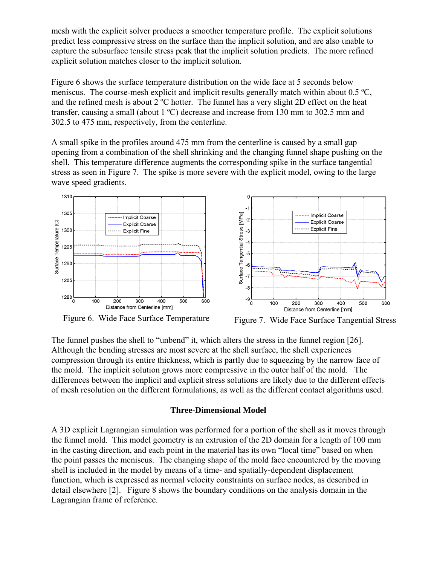mesh with the explicit solver produces a smoother temperature profile. The explicit solutions predict less compressive stress on the surface than the implicit solution, and are also unable to capture the subsurface tensile stress peak that the implicit solution predicts. The more refined explicit solution matches closer to the implicit solution.

Figure 6 shows the surface temperature distribution on the wide face at 5 seconds below meniscus. The course-mesh explicit and implicit results generally match within about 0.5 ºC, and the refined mesh is about 2 ºC hotter. The funnel has a very slight 2D effect on the heat transfer, causing a small (about 1 ºC) decrease and increase from 130 mm to 302.5 mm and 302.5 to 475 mm, respectively, from the centerline.

A small spike in the profiles around 475 mm from the centerline is caused by a small gap opening from a combination of the shell shrinking and the changing funnel shape pushing on the shell. This temperature difference augments the corresponding spike in the surface tangential stress as seen in Figure 7. The spike is more severe with the explicit model, owing to the large wave speed gradients.



Figure 6. Wide Face Surface Temperature Figure 7. Wide Face Surface Tangential Stress

The funnel pushes the shell to "unbend" it, which alters the stress in the funnel region [26]. Although the bending stresses are most severe at the shell surface, the shell experiences compression through its entire thickness, which is partly due to squeezing by the narrow face of the mold. The implicit solution grows more compressive in the outer half of the mold. The differences between the implicit and explicit stress solutions are likely due to the different effects of mesh resolution on the different formulations, as well as the different contact algorithms used.

## **Three-Dimensional Model**

A 3D explicit Lagrangian simulation was performed for a portion of the shell as it moves through the funnel mold. This model geometry is an extrusion of the 2D domain for a length of 100 mm in the casting direction, and each point in the material has its own "local time" based on when the point passes the meniscus. The changing shape of the mold face encountered by the moving shell is included in the model by means of a time- and spatially-dependent displacement function, which is expressed as normal velocity constraints on surface nodes, as described in detail elsewhere [2]. Figure 8 shows the boundary conditions on the analysis domain in the Lagrangian frame of reference.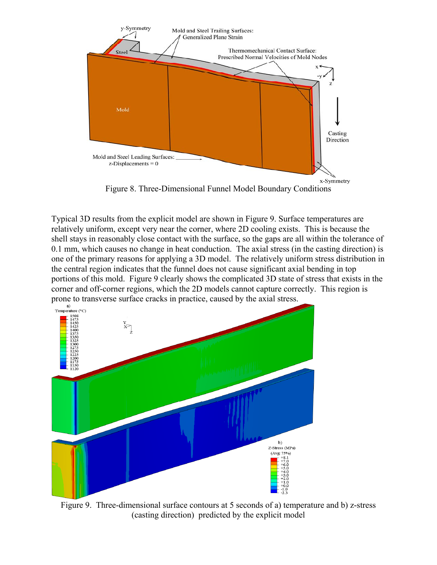

Figure 8. Three-Dimensional Funnel Model Boundary Conditions

Typical 3D results from the explicit model are shown in Figure 9. Surface temperatures are relatively uniform, except very near the corner, where 2D cooling exists. This is because the shell stays in reasonably close contact with the surface, so the gaps are all within the tolerance of 0.1 mm, which causes no change in heat conduction. The axial stress (in the casting direction) is one of the primary reasons for applying a 3D model. The relatively uniform stress distribution in the central region indicates that the funnel does not cause significant axial bending in top portions of this mold. Figure 9 clearly shows the complicated 3D state of stress that exists in the corner and off-corner regions, which the 2D models cannot capture correctly. This region is



Figure 9. Three-dimensional surface contours at 5 seconds of a) temperature and b) z-stress (casting direction) predicted by the explicit model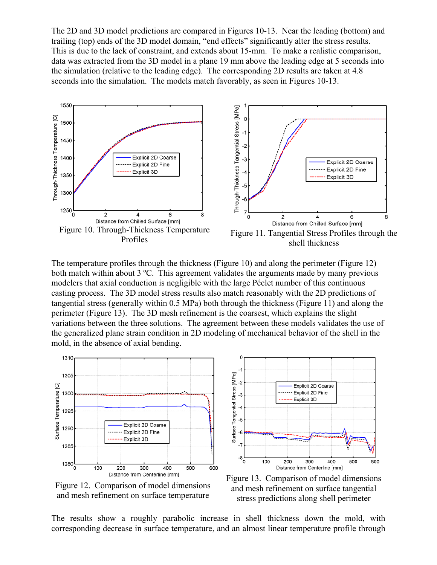The 2D and 3D model predictions are compared in Figures 10-13. Near the leading (bottom) and trailing (top) ends of the 3D model domain, "end effects" significantly alter the stress results. This is due to the lack of constraint, and extends about 15-mm. To make a realistic comparison, data was extracted from the 3D model in a plane 19 mm above the leading edge at 5 seconds into the simulation (relative to the leading edge). The corresponding 2D results are taken at 4.8 seconds into the simulation. The models match favorably, as seen in Figures 10-13.



The temperature profiles through the thickness (Figure 10) and along the perimeter (Figure 12) both match within about  $3 \text{ °C}$ . This agreement validates the arguments made by many previous modelers that axial conduction is negligible with the large Péclet number of this continuous casting process. The 3D model stress results also match reasonably with the 2D predictions of tangential stress (generally within 0.5 MPa) both through the thickness (Figure 11) and along the perimeter (Figure 13). The 3D mesh refinement is the coarsest, which explains the slight variations between the three solutions. The agreement between these models validates the use of the generalized plane strain condition in 2D modeling of mechanical behavior of the shell in the mold, in the absence of axial bending.



Figure 12. Comparison of model dimensions and mesh refinement on surface temperature



Figure 13. Comparison of model dimensions and mesh refinement on surface tangential stress predictions along shell perimeter

The results show a roughly parabolic increase in shell thickness down the mold, with corresponding decrease in surface temperature, and an almost linear temperature profile through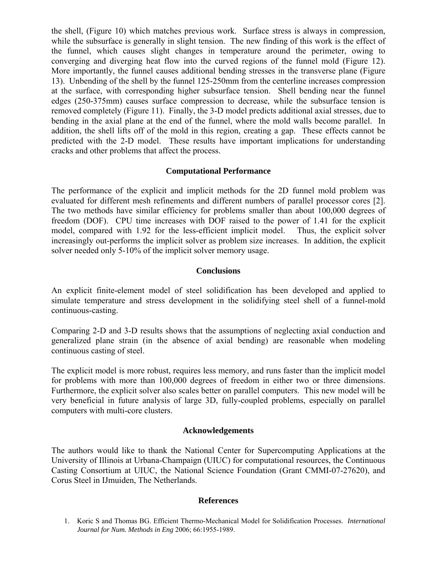the shell, (Figure 10) which matches previous work. Surface stress is always in compression, while the subsurface is generally in slight tension. The new finding of this work is the effect of the funnel, which causes slight changes in temperature around the perimeter, owing to converging and diverging heat flow into the curved regions of the funnel mold (Figure 12). More importantly, the funnel causes additional bending stresses in the transverse plane (Figure 13). Unbending of the shell by the funnel 125-250mm from the centerline increases compression at the surface, with corresponding higher subsurface tension. Shell bending near the funnel edges (250-375mm) causes surface compression to decrease, while the subsurface tension is removed completely (Figure 11). Finally, the 3-D model predicts additional axial stresses, due to bending in the axial plane at the end of the funnel, where the mold walls become parallel. In addition, the shell lifts off of the mold in this region, creating a gap. These effects cannot be predicted with the 2-D model. These results have important implications for understanding cracks and other problems that affect the process.

## **Computational Performance**

The performance of the explicit and implicit methods for the 2D funnel mold problem was evaluated for different mesh refinements and different numbers of parallel processor cores [2]. The two methods have similar efficiency for problems smaller than about 100,000 degrees of freedom (DOF). CPU time increases with DOF raised to the power of 1.41 for the explicit model, compared with 1.92 for the less-efficient implicit model. Thus, the explicit solver increasingly out-performs the implicit solver as problem size increases. In addition, the explicit solver needed only 5-10% of the implicit solver memory usage.

## **Conclusions**

An explicit finite-element model of steel solidification has been developed and applied to simulate temperature and stress development in the solidifying steel shell of a funnel-mold continuous-casting.

Comparing 2-D and 3-D results shows that the assumptions of neglecting axial conduction and generalized plane strain (in the absence of axial bending) are reasonable when modeling continuous casting of steel.

The explicit model is more robust, requires less memory, and runs faster than the implicit model for problems with more than 100,000 degrees of freedom in either two or three dimensions. Furthermore, the explicit solver also scales better on parallel computers. This new model will be very beneficial in future analysis of large 3D, fully-coupled problems, especially on parallel computers with multi-core clusters.

## **Acknowledgements**

The authors would like to thank the National Center for Supercomputing Applications at the University of Illinois at Urbana-Champaign (UIUC) for computational resources, the Continuous Casting Consortium at UIUC, the National Science Foundation (Grant CMMI-07-27620), and Corus Steel in IJmuiden, The Netherlands.

## **References**

<sup>1.</sup> Koric S and Thomas BG. Efficient Thermo-Mechanical Model for Solidification Processes. *International Journal for Num. Methods in Eng* 2006; 66:1955-1989.